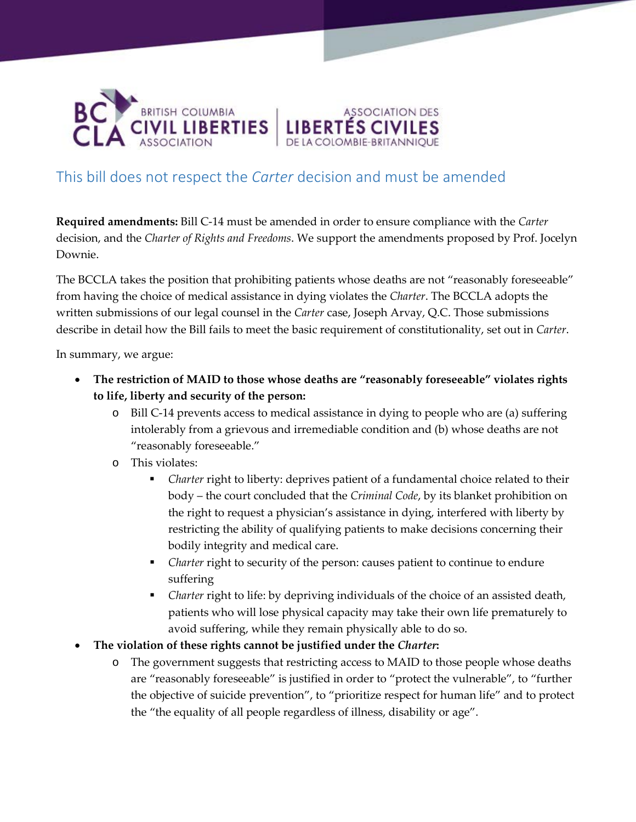

# This bill does not respect the *Carter* decision and must be amended

**Required amendments:** Bill C-14 must be amended in order to ensure compliance with the *Carter*  decision, and the *Charter of Rights and Freedoms*. We support the amendments proposed by Prof. Jocelyn Downie.

ASSOCIATION DES

The BCCLA takes the position that prohibiting patients whose deaths are not "reasonably foreseeable" from having the choice of medical assistance in dying violates the *Charter*. The BCCLA adopts the written submissions of our legal counsel in the *Carter* case, Joseph Arvay, Q.C. Those submissions describe in detail how the Bill fails to meet the basic requirement of constitutionality, set out in *Carter*.

In summary, we argue:

- **The restriction of MAID to those whose deaths are "reasonably foreseeable" violates rights to life, liberty and security of the person:**
	- o Bill C-14 prevents access to medical assistance in dying to people who are (a) suffering intolerably from a grievous and irremediable condition and (b) whose deaths are not "reasonably foreseeable."
	- o This violates:
		- *Charter* right to liberty: deprives patient of a fundamental choice related to their body – the court concluded that the *Criminal Code*, by its blanket prohibition on the right to request a physician's assistance in dying, interfered with liberty by restricting the ability of qualifying patients to make decisions concerning their bodily integrity and medical care.
		- *Charter* right to security of the person: causes patient to continue to endure suffering
		- *Charter* right to life: by depriving individuals of the choice of an assisted death, patients who will lose physical capacity may take their own life prematurely to avoid suffering, while they remain physically able to do so.
- **The violation of these rights cannot be justified under the** *Charter***:**
	- o The government suggests that restricting access to MAID to those people whose deaths are "reasonably foreseeable" is justified in order to "protect the vulnerable", to "further the objective of suicide prevention", to "prioritize respect for human life" and to protect the "the equality of all people regardless of illness, disability or age".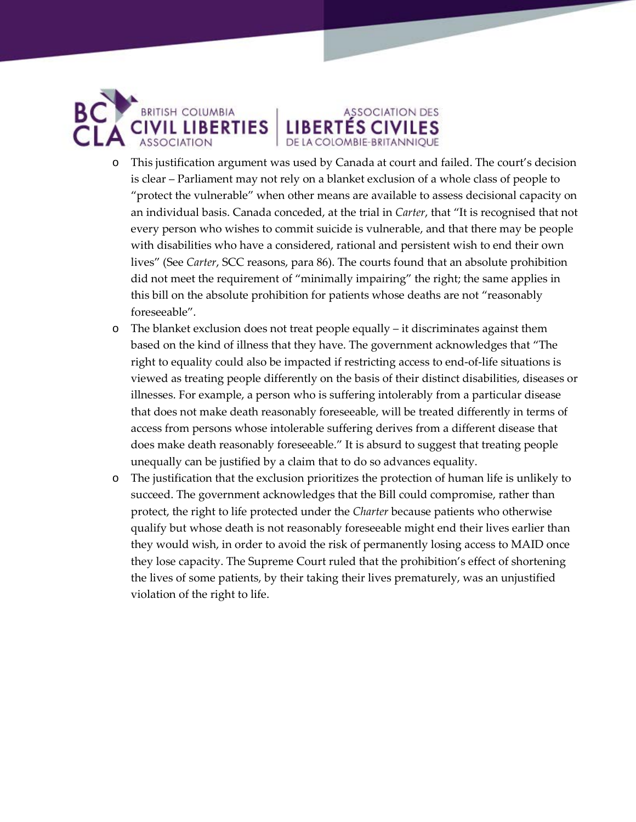

### o This justification argument was used by Canada at court and failed. The court's decision is clear – Parliament may not rely on a blanket exclusion of a whole class of people to "protect the vulnerable" when other means are available to assess decisional capacity on an individual basis. Canada conceded, at the trial in *Carter*, that "It is recognised that not every person who wishes to commit suicide is vulnerable, and that there may be people with disabilities who have a considered, rational and persistent wish to end their own lives" (See *Carter*, SCC reasons, para 86). The courts found that an absolute prohibition did not meet the requirement of "minimally impairing" the right; the same applies in this bill on the absolute prohibition for patients whose deaths are not "reasonably foreseeable".

**ASSOCIATION DES** 

**LIBERTES CIVILES** 

- o The blanket exclusion does not treat people equally it discriminates against them based on the kind of illness that they have. The government acknowledges that "The right to equality could also be impacted if restricting access to end-of-life situations is viewed as treating people differently on the basis of their distinct disabilities, diseases or illnesses. For example, a person who is suffering intolerably from a particular disease that does not make death reasonably foreseeable, will be treated differently in terms of access from persons whose intolerable suffering derives from a different disease that does make death reasonably foreseeable." It is absurd to suggest that treating people unequally can be justified by a claim that to do so advances equality.
- o The justification that the exclusion prioritizes the protection of human life is unlikely to succeed. The government acknowledges that the Bill could compromise, rather than protect, the right to life protected under the *Charter* because patients who otherwise qualify but whose death is not reasonably foreseeable might end their lives earlier than they would wish, in order to avoid the risk of permanently losing access to MAID once they lose capacity. The Supreme Court ruled that the prohibition's effect of shortening the lives of some patients, by their taking their lives prematurely, was an unjustified violation of the right to life.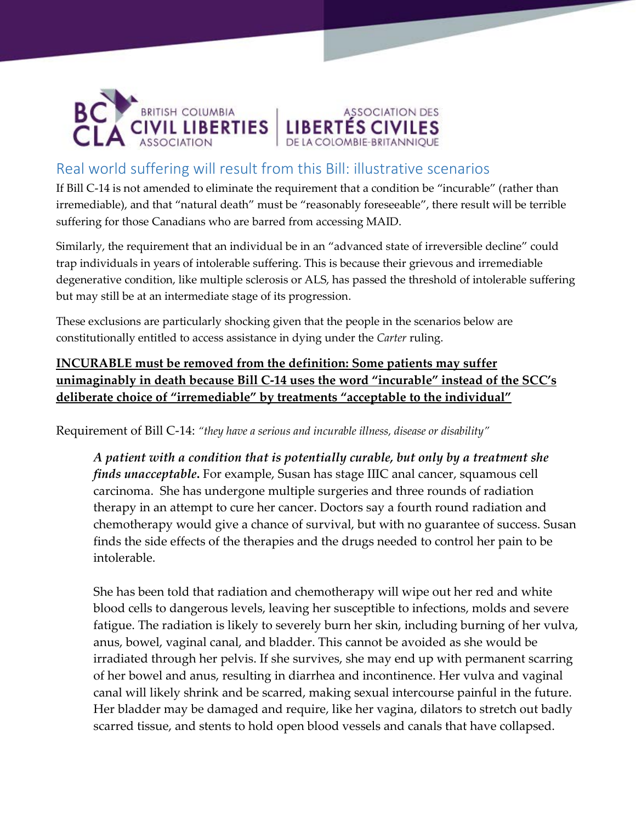

## Real world suffering will result from this Bill: illustrative scenarios

If Bill C-14 is not amended to eliminate the requirement that a condition be "incurable" (rather than irremediable), and that "natural death" must be "reasonably foreseeable", there result will be terrible suffering for those Canadians who are barred from accessing MAID.

ASSOCIATION DES

**LIBERTÉS CIVILES** 

Similarly, the requirement that an individual be in an "advanced state of irreversible decline" could trap individuals in years of intolerable suffering. This is because their grievous and irremediable degenerative condition, like multiple sclerosis or ALS, has passed the threshold of intolerable suffering but may still be at an intermediate stage of its progression.

These exclusions are particularly shocking given that the people in the scenarios below are constitutionally entitled to access assistance in dying under the *Carter* ruling.

### **INCURABLE must be removed from the definition: Some patients may suffer unimaginably in death because Bill C-14 uses the word "incurable" instead of the SCC's deliberate choice of "irremediable" by treatments "acceptable to the individual"**

Requirement of Bill C-14: *"they have a serious and incurable illness, disease or disability"*

*A patient with a condition that is potentially curable, but only by a treatment she finds unacceptable***.** For example, Susan has stage IIIC anal cancer, squamous cell carcinoma. She has undergone multiple surgeries and three rounds of radiation therapy in an attempt to cure her cancer. Doctors say a fourth round radiation and chemotherapy would give a chance of survival, but with no guarantee of success. Susan finds the side effects of the therapies and the drugs needed to control her pain to be intolerable.

She has been told that radiation and chemotherapy will wipe out her red and white blood cells to dangerous levels, leaving her susceptible to infections, molds and severe fatigue. The radiation is likely to severely burn her skin, including burning of her vulva, anus, bowel, vaginal canal, and bladder. This cannot be avoided as she would be irradiated through her pelvis. If she survives, she may end up with permanent scarring of her bowel and anus, resulting in diarrhea and incontinence. Her vulva and vaginal canal will likely shrink and be scarred, making sexual intercourse painful in the future. Her bladder may be damaged and require, like her vagina, dilators to stretch out badly scarred tissue, and stents to hold open blood vessels and canals that have collapsed.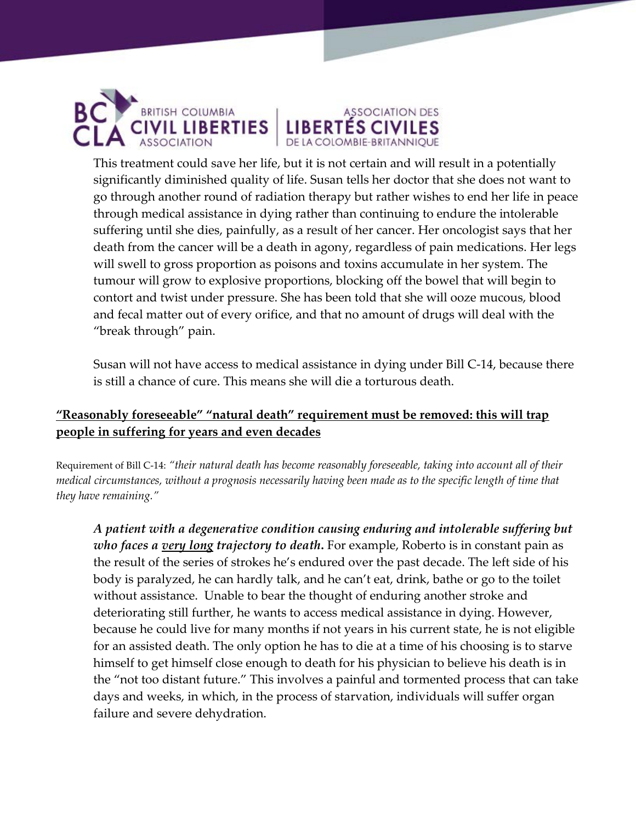

This treatment could save her life, but it is not certain and will result in a potentially significantly diminished quality of life. Susan tells her doctor that she does not want to go through another round of radiation therapy but rather wishes to end her life in peace through medical assistance in dying rather than continuing to endure the intolerable suffering until she dies, painfully, as a result of her cancer. Her oncologist says that her death from the cancer will be a death in agony, regardless of pain medications. Her legs will swell to gross proportion as poisons and toxins accumulate in her system. The tumour will grow to explosive proportions, blocking off the bowel that will begin to contort and twist under pressure. She has been told that she will ooze mucous, blood and fecal matter out of every orifice, and that no amount of drugs will deal with the "break through" pain.

ASSOCIATION DES

**LIBERTÉS CIVILES** 

Susan will not have access to medical assistance in dying under Bill C-14, because there is still a chance of cure. This means she will die a torturous death.

#### **"Reasonably foreseeable" "natural death" requirement must be removed: this will trap people in suffering for years and even decades**

Requirement of Bill C-14: *"their natural death has become reasonably foreseeable, taking into account all of their medical circumstances, without a prognosis necessarily having been made as to the specific length of time that they have remaining."*

*A patient with a degenerative condition causing enduring and intolerable suffering but who faces a very long trajectory to death***.** For example, Roberto is in constant pain as the result of the series of strokes he's endured over the past decade. The left side of his body is paralyzed, he can hardly talk, and he can't eat, drink, bathe or go to the toilet without assistance. Unable to bear the thought of enduring another stroke and deteriorating still further, he wants to access medical assistance in dying. However, because he could live for many months if not years in his current state, he is not eligible for an assisted death. The only option he has to die at a time of his choosing is to starve himself to get himself close enough to death for his physician to believe his death is in the "not too distant future." This involves a painful and tormented process that can take days and weeks, in which, in the process of starvation, individuals will suffer organ failure and severe dehydration.